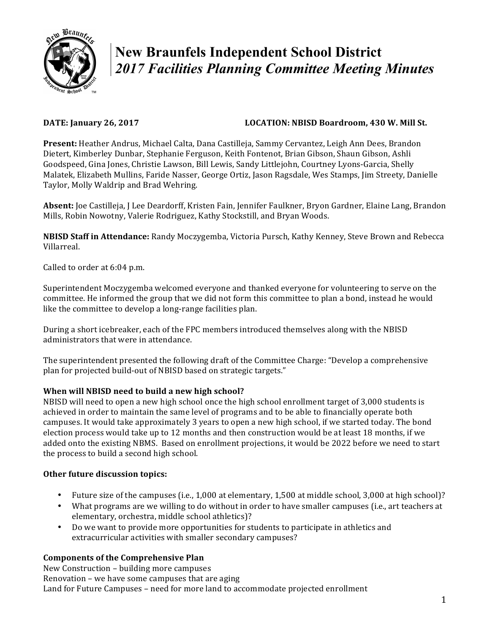

# **New Braunfels Independent School District**  *2017 Facilities Planning Committee Meeting Minutes*

# **DATE:** January 26, 2017 **LOCATION:** NBISD Boardroom, 430 W. Mill St.

**Present:** Heather Andrus, Michael Calta, Dana Castilleja, Sammy Cervantez, Leigh Ann Dees, Brandon Dietert, Kimberley Dunbar, Stephanie Ferguson, Keith Fontenot, Brian Gibson, Shaun Gibson, Ashli Goodspeed, Gina Jones, Christie Lawson, Bill Lewis, Sandy Littlejohn, Courtney Lyons-Garcia, Shelly Malatek, Elizabeth Mullins, Faride Nasser, George Ortiz, Jason Ragsdale, Wes Stamps, Jim Streety, Danielle Taylor, Molly Waldrip and Brad Wehring.

Absent: Joe Castilleja, J Lee Deardorff, Kristen Fain, Jennifer Faulkner, Bryon Gardner, Elaine Lang, Brandon Mills, Robin Nowotny, Valerie Rodriguez, Kathy Stockstill, and Bryan Woods.

**NBISD Staff in Attendance:** Randy Moczygemba, Victoria Pursch, Kathy Kenney, Steve Brown and Rebecca Villarreal.

Called to order at 6:04 p.m.

Superintendent Moczygemba welcomed everyone and thanked everyone for volunteering to serve on the committee. He informed the group that we did not form this committee to plan a bond, instead he would like the committee to develop a long-range facilities plan.

During a short icebreaker, each of the FPC members introduced themselves along with the NBISD administrators that were in attendance.

The superintendent presented the following draft of the Committee Charge: "Develop a comprehensive plan for projected build-out of NBISD based on strategic targets."

# **When will NBISD need to build a new high school?**

NBISD will need to open a new high school once the high school enrollment target of 3,000 students is achieved in order to maintain the same level of programs and to be able to financially operate both campuses. It would take approximately 3 years to open a new high school, if we started today. The bond election process would take up to 12 months and then construction would be at least 18 months, if we added onto the existing NBMS. Based on enrollment projections, it would be 2022 before we need to start the process to build a second high school.

# **Other future discussion topics:**

- Future size of the campuses (i.e., 1,000 at elementary, 1,500 at middle school, 3,000 at high school)?
- What programs are we willing to do without in order to have smaller campuses (i.e., art teachers at elementary, orchestra, middle school athletics)?
- Do we want to provide more opportunities for students to participate in athletics and extracurricular activities with smaller secondary campuses?

# **Components of the Comprehensive Plan**

New Construction – building more campuses Renovation - we have some campuses that are aging Land for Future Campuses – need for more land to accommodate projected enrollment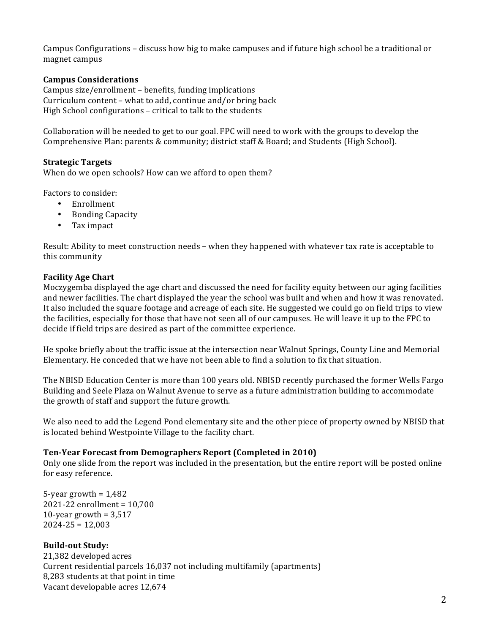Campus Configurations - discuss how big to make campuses and if future high school be a traditional or magnet campus

#### **Campus Considerations**

Campus size/enrollment – benefits, funding implications Curriculum content – what to add, continue and/or bring back High School configurations – critical to talk to the students

Collaboration will be needed to get to our goal. FPC will need to work with the groups to develop the Comprehensive Plan: parents & community; district staff & Board; and Students (High School).

#### **Strategic Targets**

When do we open schools? How can we afford to open them?

Factors to consider:

- Enrollment
- Bonding Capacity
- Tax impact

Result: Ability to meet construction needs - when they happened with whatever tax rate is acceptable to this community

#### **Facility Age Chart**

Moczygemba displayed the age chart and discussed the need for facility equity between our aging facilities and newer facilities. The chart displayed the year the school was built and when and how it was renovated. It also included the square footage and acreage of each site. He suggested we could go on field trips to view the facilities, especially for those that have not seen all of our campuses. He will leave it up to the FPC to decide if field trips are desired as part of the committee experience.

He spoke briefly about the traffic issue at the intersection near Walnut Springs, County Line and Memorial Elementary. He conceded that we have not been able to find a solution to fix that situation.

The NBISD Education Center is more than 100 years old. NBISD recently purchased the former Wells Fargo Building and Seele Plaza on Walnut Avenue to serve as a future administration building to accommodate the growth of staff and support the future growth.

We also need to add the Legend Pond elementary site and the other piece of property owned by NBISD that is located behind Westpointe Village to the facility chart.

#### **Ten-Year Forecast from Demographers Report (Completed in 2010)**

Only one slide from the report was included in the presentation, but the entire report will be posted online for easy reference.

5-year growth  $= 1,482$  $2021 - 22$  enrollment =  $10,700$ 10-year growth  $= 3,517$  $2024 - 25 = 12,003$ 

#### **Build-out Study:**

21,382 developed acres Current residential parcels 16,037 not including multifamily (apartments) 8,283 students at that point in time Vacant developable acres 12,674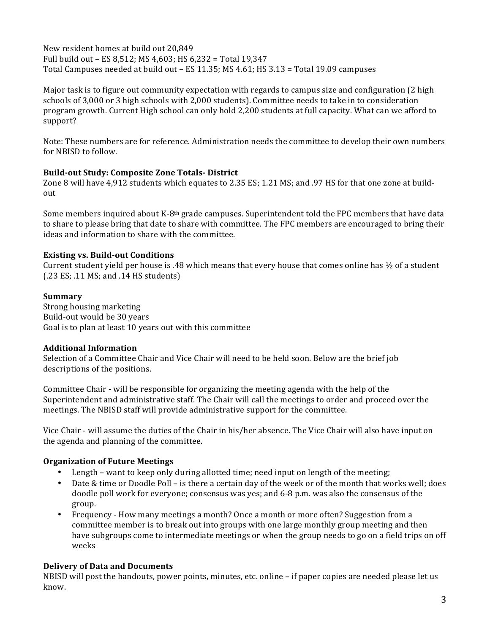New resident homes at build out 20,849 Full build out - ES 8,512; MS 4,603; HS 6,232 = Total 19,347 Total Campuses needed at build out – ES 11.35; MS 4.61; HS 3.13 = Total 19.09 campuses

Major task is to figure out community expectation with regards to campus size and configuration (2 high schools of 3,000 or 3 high schools with 2,000 students). Committee needs to take in to consideration program growth. Current High school can only hold 2,200 students at full capacity. What can we afford to support?

Note: These numbers are for reference. Administration needs the committee to develop their own numbers for NBISD to follow.

### **Build-out Study: Composite Zone Totals- District**

Zone 8 will have 4,912 students which equates to 2.35 ES; 1.21 MS; and .97 HS for that one zone at buildout

Some members inquired about K-8<sup>th</sup> grade campuses. Superintendent told the FPC members that have data to share to please bring that date to share with committee. The FPC members are encouraged to bring their ideas and information to share with the committee.

## **Existing vs. Build-out Conditions**

Current student yield per house is .48 which means that every house that comes online has  $\frac{1}{2}$  of a student  $(.23 \text{ ES}; .11 \text{ MS};$  and  $.14 \text{ HS}$  students)

### **Summary**

Strong housing marketing Build-out would be 30 years Goal is to plan at least 10 years out with this committee

### **Additional Information**

Selection of a Committee Chair and Vice Chair will need to be held soon. Below are the brief job descriptions of the positions.

Committee Chair **-** will be responsible for organizing the meeting agenda with the help of the Superintendent and administrative staff. The Chair will call the meetings to order and proceed over the meetings. The NBISD staff will provide administrative support for the committee.

Vice Chair - will assume the duties of the Chair in his/her absence. The Vice Chair will also have input on the agenda and planning of the committee.

### **Organization of Future Meetings**

- Length  $-$  want to keep only during allotted time; need input on length of the meeting;
- Date & time or Doodle Poll is there a certain day of the week or of the month that works well; does doodle poll work for everyone; consensus was yes; and  $6-8$  p.m. was also the consensus of the group.
- Frequency How many meetings a month? Once a month or more often? Suggestion from a committee member is to break out into groups with one large monthly group meeting and then have subgroups come to intermediate meetings or when the group needs to go on a field trips on off weeks

# **Delivery of Data and Documents**

NBISD will post the handouts, power points, minutes, etc. online - if paper copies are needed please let us know.